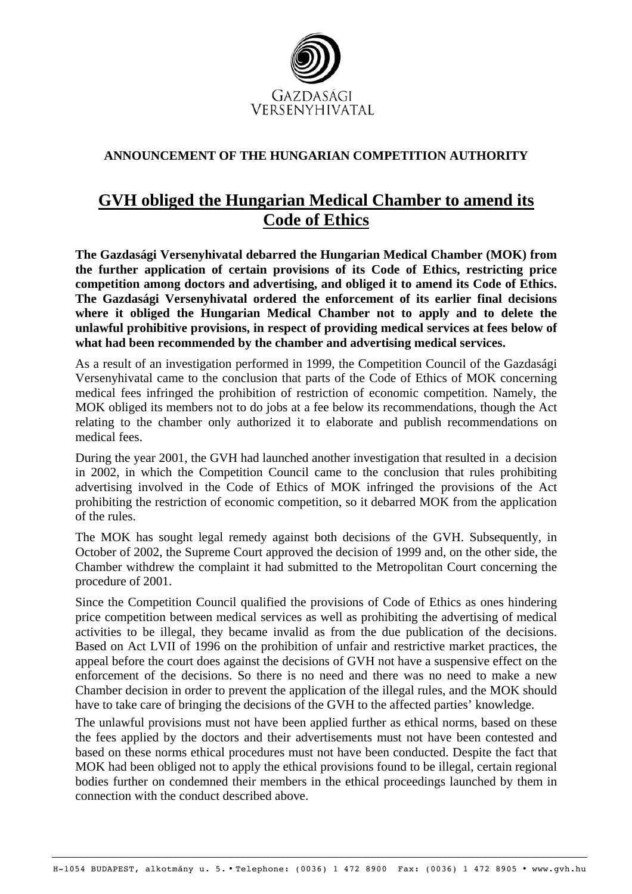

## **ANNOUNCEMENT OF THE HUNGARIAN COMPETITION AUTHORITY**

## **GVH obliged the Hungarian Medical Chamber to amend its Code of Ethics**

**The Gazdasági Versenyhivatal debarred the Hungarian Medical Chamber (MOK) from the further application of certain provisions of its Code of Ethics, restricting price competition among doctors and advertising, and obliged it to amend its Code of Ethics. The Gazdasági Versenyhivatal ordered the enforcement of its earlier final decisions where it obliged the Hungarian Medical Chamber not to apply and to delete the unlawful prohibitive provisions, in respect of providing medical services at fees below of what had been recommended by the chamber and advertising medical services.** 

As a result of an investigation performed in 1999, the Competition Council of the Gazdasági Versenyhivatal came to the conclusion that parts of the Code of Ethics of MOK concerning medical fees infringed the prohibition of restriction of economic competition. Namely, the MOK obliged its members not to do jobs at a fee below its recommendations, though the Act relating to the chamber only authorized it to elaborate and publish recommendations on medical fees.

During the year 2001, the GVH had launched another investigation that resulted in a decision in 2002, in which the Competition Council came to the conclusion that rules prohibiting advertising involved in the Code of Ethics of MOK infringed the provisions of the Act prohibiting the restriction of economic competition, so it debarred MOK from the application of the rules.

The MOK has sought legal remedy against both decisions of the GVH. Subsequently, in October of 2002, the Supreme Court approved the decision of 1999 and, on the other side, the Chamber withdrew the complaint it had submitted to the Metropolitan Court concerning the procedure of 2001.

Since the Competition Council qualified the provisions of Code of Ethics as ones hindering price competition between medical services as well as prohibiting the advertising of medical activities to be illegal, they became invalid as from the due publication of the decisions. Based on Act LVII of 1996 on the prohibition of unfair and restrictive market practices, the appeal before the court does against the decisions of GVH not have a suspensive effect on the enforcement of the decisions. So there is no need and there was no need to make a new Chamber decision in order to prevent the application of the illegal rules, and the MOK should have to take care of bringing the decisions of the GVH to the affected parties' knowledge.

The unlawful provisions must not have been applied further as ethical norms, based on these the fees applied by the doctors and their advertisements must not have been contested and based on these norms ethical procedures must not have been conducted. Despite the fact that MOK had been obliged not to apply the ethical provisions found to be illegal, certain regional bodies further on condemned their members in the ethical proceedings launched by them in connection with the conduct described above.